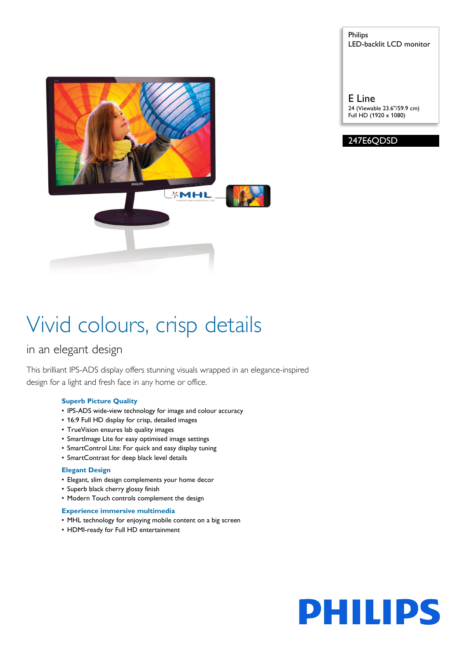*<u><b>XMHL</u>* 

Philips LED-backlit LCD monitor

E Line 24 (Viewable 23.6"/59.9 cm) Full HD (1920 x 1080)



# Vivid colours, crisp details

### in an elegant design

This brilliant IPS-ADS display offers stunning visuals wrapped in an elegance-inspired design for a light and fresh face in any home or office.

#### **Superb Picture Quality**

- IPS-ADS wide-view technology for image and colour accuracy
- 16:9 Full HD display for crisp, detailed images
- TrueVision ensures lab quality images
- SmartImage Lite for easy optimised image settings
- SmartControl Lite: For quick and easy display tuning
- SmartContrast for deep black level details

#### **Elegant Design**

- Elegant, slim design complements your home decor
- Superb black cherry glossy finish
- Modern Touch controls complement the design

#### **Experience immersive multimedia**

- MHL technology for enjoying mobile content on a big screen
- HDMI-ready for Full HD entertainment

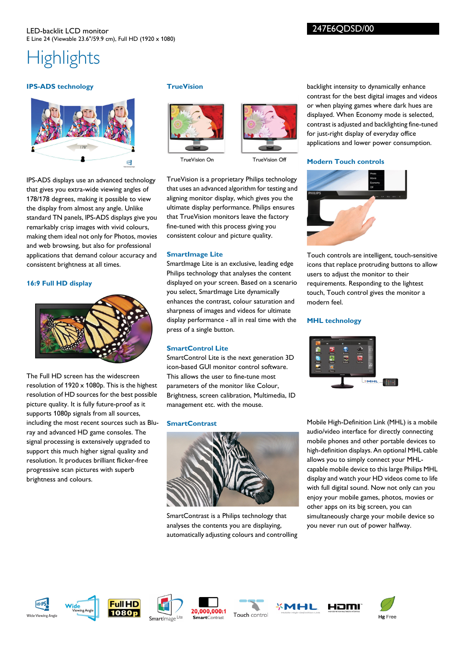247E6QDSD/00

## **Highlights**

#### **IPS-ADS technology**



IPS-ADS displays use an advanced technology that gives you extra-wide viewing angles of 178/178 degrees, making it possible to view the display from almost any angle. Unlike standard TN panels, IPS-ADS displays give you remarkably crisp images with vivid colours, making them ideal not only for Photos, movies and web browsing, but also for professional applications that demand colour accuracy and consistent brightness at all times.

#### **16:9 Full HD display**



The Full HD screen has the widescreen resolution of 1920 x 1080p. This is the highest resolution of HD sources for the best possible picture quality. It is fully future-proof as it supports 1080p signals from all sources, including the most recent sources such as Bluray and advanced HD game consoles. The signal processing is extensively upgraded to support this much higher signal quality and resolution. It produces brilliant flicker-free progressive scan pictures with superb brightness and colours.

#### **TrueVision**



TrueVision On



TrueVision Of

TrueVision is a proprietary Philips technology that uses an advanced algorithm for testing and aligning monitor display, which gives you the ultimate display performance. Philips ensures that TrueVision monitors leave the factory fine-tuned with this process giving you consistent colour and picture quality.

#### **SmartImage Lite**

SmartImage Lite is an exclusive, leading edge Philips technology that analyses the content displayed on your screen. Based on a scenario you select, SmartImage Lite dynamically enhances the contrast, colour saturation and sharpness of images and videos for ultimate display performance - all in real time with the press of a single button.

#### **SmartControl Lite**

SmartControl Lite is the next generation 3D icon-based GUI monitor control software. This allows the user to fine-tune most parameters of the monitor like Colour, Brightness, screen calibration, Multimedia, ID management etc. with the mouse.

#### **SmartContrast**



SmartContrast is a Philips technology that analyses the contents you are displaying, automatically adjusting colours and controlling

backlight intensity to dynamically enhance contrast for the best digital images and videos or when playing games where dark hues are displayed. When Economy mode is selected, contrast is adjusted and backlighting fine-tuned for just-right display of everyday office applications and lower power consumption.

#### **Modern Touch controls**



Touch controls are intelligent, touch-sensitive icons that replace protruding buttons to allow users to adjust the monitor to their requirements. Responding to the lightest touch, Touch control gives the monitor a modern feel.

#### **MHL technology**



Mobile High-Definition Link (MHL) is a mobile audio/video interface for directly connecting mobile phones and other portable devices to high-definition displays. An optional MHL cable allows you to simply connect your MHLcapable mobile device to this large Philips MHL display and watch your HD videos come to life with full digital sound. Now not only can you enjoy your mobile games, photos, movies or other apps on its big screen, you can simultaneously charge your mobile device so you never run out of power halfway.















HOMI